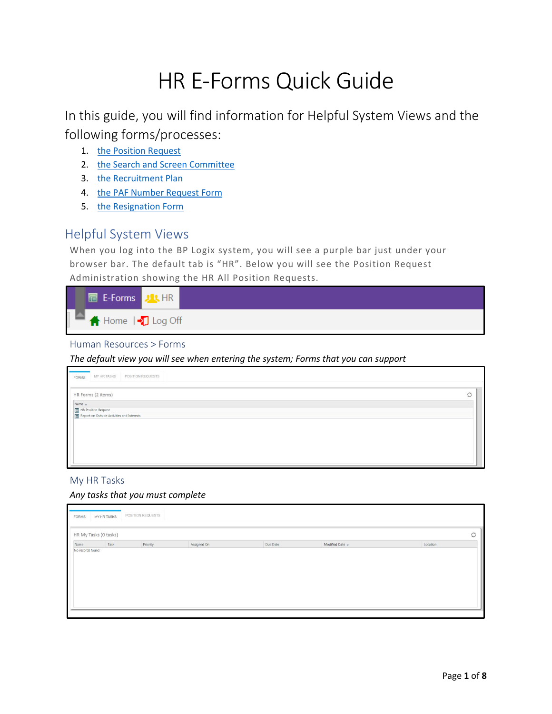# HR E-Forms Quick Guide

In this guide, you will find information for Helpful System Views and the following forms/processes:

- 1. [the Position Request](#page-1-0)
- 2. [the Search and Screen Committee](#page-3-0)
- 3. [the Recruitment Plan](#page-3-0)
- 4. [the PAF Number Request Form](#page-4-0)
- 5. [the Resignation Form](#page-5-0)

## Helpful System Views

When you log into the BP Logix system, you will see a purple bar just under your browser bar. The default tab is "HR". Below you will see the Position Request Administration showing the HR All Position Requests.



#### Human Resources > Forms

*The default view you will see when entering the system; Forms that you can support*

| MY HR TASKS<br>FORMS                                                  | POSITION REQUESTS |  |   |
|-----------------------------------------------------------------------|-------------------|--|---|
| HR Forms (2 items)                                                    |                   |  | O |
| Name .                                                                |                   |  |   |
| ■ HR Position Request<br>■ Report on Outside Activities and Interests |                   |  |   |
|                                                                       |                   |  |   |
|                                                                       |                   |  |   |
|                                                                       |                   |  |   |
|                                                                       |                   |  |   |
|                                                                       |                   |  |   |
|                                                                       |                   |  |   |
|                                                                       |                   |  |   |
|                                                                       |                   |  |   |
|                                                                       |                   |  |   |

#### My HR Tasks

#### *Any tasks that you must complete*

| FORMS | MY HR TASKS<br>HR My Tasks (0 tasks) | POSITION REQUESTS |             |          |                 | $\circ$  |
|-------|--------------------------------------|-------------------|-------------|----------|-----------------|----------|
| Name  | Task                                 | Priority          | Assigned On | Due Date | Modified Date + | Location |
|       |                                      |                   |             |          |                 |          |
|       |                                      |                   |             |          |                 |          |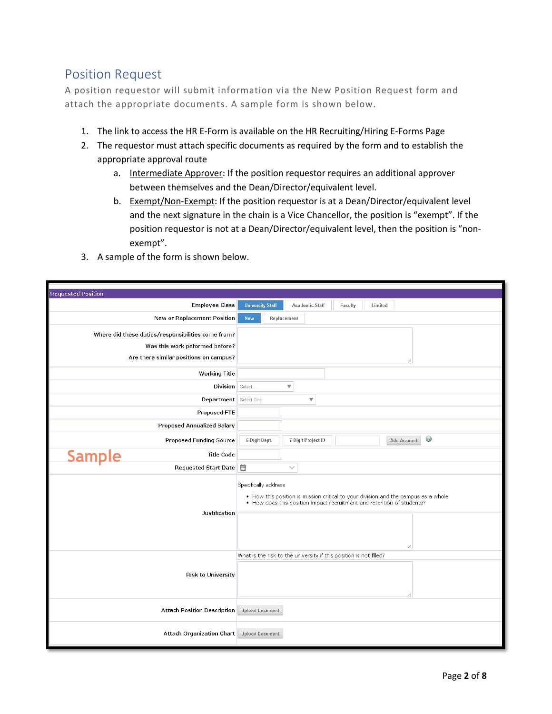## <span id="page-1-0"></span>Position Request

A position requestor will submit information via the New Position Request form and attach the appropriate documents. A sample form is shown below.

- 1. The link to access the HR E-Form is available on the HR Recruiting/Hiring E-Forms Page
- 2. The requestor must attach specific documents as required by the form and to establish the appropriate approval route
	- a. Intermediate Approver: If the position requestor requires an additional approver between themselves and the Dean/Director/equivalent level.
	- b. Exempt/Non-Exempt: If the position requestor is at a Dean/Director/equivalent level and the next signature in the chain is a Vice Chancellor, the position is "exempt". If the position requestor is not at a Dean/Director/equivalent level, then the position is "nonexempt".
- 3. A sample of the form is shown below.

| <b>Requested Position</b>                          |                                                                                                                                                                                       |
|----------------------------------------------------|---------------------------------------------------------------------------------------------------------------------------------------------------------------------------------------|
| <b>Employee Class</b>                              | <b>University Staff</b><br><b>Academic Staff</b><br>Faculty<br>Limited                                                                                                                |
| New or Replacement Position                        | Replacement<br>New                                                                                                                                                                    |
| Where did these duties/responsibilities come from? |                                                                                                                                                                                       |
| Was this work peformed before?                     |                                                                                                                                                                                       |
| Are there similar positions on campus?             |                                                                                                                                                                                       |
| <b>Working Title</b>                               |                                                                                                                                                                                       |
| Division Select                                    | $\overline{\mathbf{v}}$                                                                                                                                                               |
| Department Select One                              | $\overline{\mathbf{v}}$                                                                                                                                                               |
| Proposed FTE                                       |                                                                                                                                                                                       |
| <b>Proposed Annualized Salary</b>                  |                                                                                                                                                                                       |
| <b>Proposed Funding Source</b>                     | Ø<br>6-Digit Dept.<br>7-Digit Project ID<br>Add Account                                                                                                                               |
| <b>Sample</b><br><b>Title Code</b>                 |                                                                                                                                                                                       |
| Requested Start Date ■                             | $\checkmark$                                                                                                                                                                          |
| Justification                                      | Specifically address<br>• How this position is mission critical to your division and the campus as a whole.<br>• How does this position impact recruitment and retention of students? |
|                                                    |                                                                                                                                                                                       |
|                                                    | What is the risk to the university if this position is not filled?                                                                                                                    |
| <b>Risk to University</b>                          |                                                                                                                                                                                       |
| <b>Attach Position Description</b>                 | <b>Upload Document</b>                                                                                                                                                                |
| Attach Organization Chart                          | <b>Upload Document</b>                                                                                                                                                                |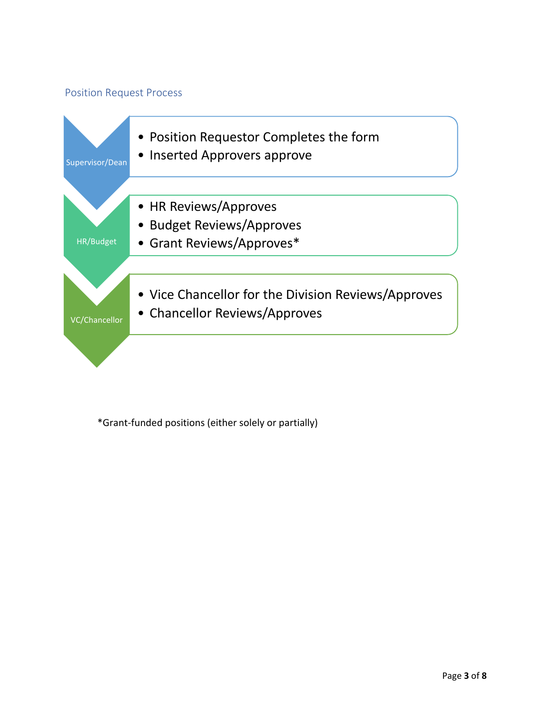### Position Request Process



\*Grant-funded positions (either solely or partially)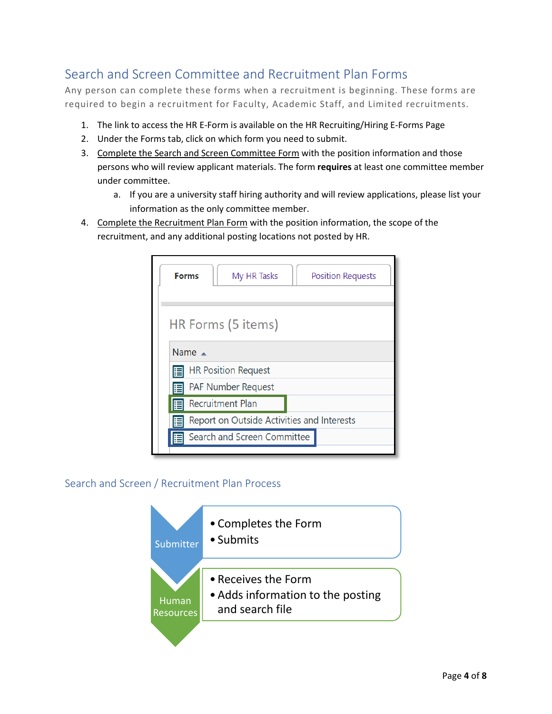# <span id="page-3-0"></span>Search and Screen Committee and Recruitment Plan Forms

Any person can complete these forms when a recruitment is beginning. These forms are required to begin a recruitment for Faculty, Academic Staff, and Limited recruitments.

- 1. The link to access the HR E-Form is available on the HR Recruiting/Hiring E-Forms Page
- 2. Under the Forms tab, click on which form you need to submit.
- 3. Complete the Search and Screen Committee Form with the position information and those persons who will review applicant materials. The form **requires** at least one committee member under committee.
	- a. If you are a university staff hiring authority and will review applications, please list your information as the only committee member.
- 4. Complete the Recruitment Plan Form with the position information, the scope of the recruitment, and any additional posting locations not posted by HR.

| <b>Forms</b><br>My HR Tasks<br><b>Position Requests</b> |  |  |  |
|---------------------------------------------------------|--|--|--|
| HR Forms (5 items)                                      |  |  |  |
| Name $\triangle$                                        |  |  |  |
| <b>HR Position Request</b>                              |  |  |  |
| <b>PAF Number Request</b><br>⊫                          |  |  |  |
| <b>Recruitment Plan</b><br>F                            |  |  |  |
| Report on Outside Activities and Interests              |  |  |  |
| Search and Screen Committee                             |  |  |  |
|                                                         |  |  |  |

## Search and Screen / Recruitment Plan Process

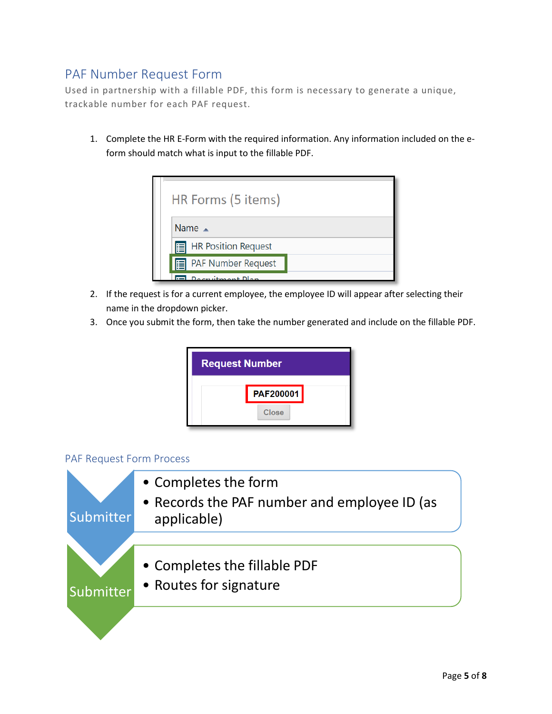# <span id="page-4-0"></span>PAF Number Request Form

Used in partnership with a fillable PDF, this form is necessary to generate a unique, trackable number for each PAF request.

1. Complete the HR E-Form with the required information. Any information included on the eform should match what is input to the fillable PDF.



- 2. If the request is for a current employee, the employee ID will appear after selecting their name in the dropdown picker.
- 3. Once you submit the form, then take the number generated and include on the fillable PDF.



#### PAF Request Form Process

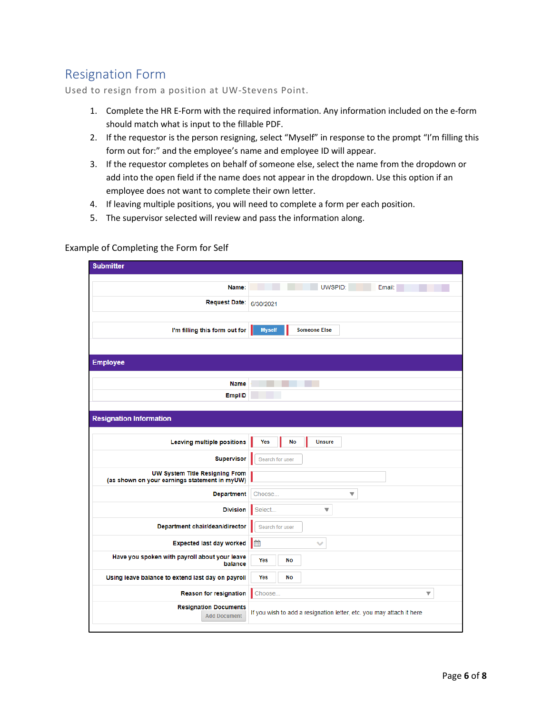# <span id="page-5-0"></span>Resignation Form

Used to resign from a position at UW-Stevens Point.

- 1. Complete the HR E-Form with the required information. Any information included on the e-form should match what is input to the fillable PDF.
- 2. If the requestor is the person resigning, select "Myself" in response to the prompt "I'm filling this form out for:" and the employee's name and employee ID will appear.
- 3. If the requestor completes on behalf of someone else, select the name from the dropdown or add into the open field if the name does not appear in the dropdown. Use this option if an employee does not want to complete their own letter.
- 4. If leaving multiple positions, you will need to complete a form per each position.
- 5. The supervisor selected will review and pass the information along.

| <b>Submitter</b>                                                                |                                                                      |
|---------------------------------------------------------------------------------|----------------------------------------------------------------------|
|                                                                                 |                                                                      |
| Name:                                                                           | UWSPID:<br>Email:                                                    |
| <b>Request Date:</b>                                                            | 6/30/2021                                                            |
|                                                                                 |                                                                      |
| I'm filling this form out for                                                   | <b>Myself</b><br><b>Someone Else</b>                                 |
|                                                                                 |                                                                      |
|                                                                                 |                                                                      |
| <b>Employee</b>                                                                 |                                                                      |
| <b>Name</b>                                                                     |                                                                      |
| EmplID                                                                          |                                                                      |
|                                                                                 |                                                                      |
| <b>Resignation Information</b>                                                  |                                                                      |
|                                                                                 |                                                                      |
| Leaving multiple positions                                                      | Yes<br>No<br><b>Unsure</b>                                           |
| <b>Supervisor</b>                                                               | Search for user                                                      |
| UW System Title Resigning From<br>(as shown on your earnings statement in myUW) |                                                                      |
| <b>Department</b>                                                               | Choose<br>$\overline{\mathbf{v}}$                                    |
| <b>Division</b>                                                                 | Select<br>▼                                                          |
| Department chair/dean/director                                                  | Search for user                                                      |
| <b>Expected last day worked</b>                                                 | ■<br>$\checkmark$                                                    |
| Have you spoken with payroll about your leave<br>balance                        | Yes<br>No                                                            |
| Using leave balance to extend last day on payroll                               | Yes<br><b>No</b>                                                     |
| <b>Reason for resignation</b>                                                   | Choose<br>▼                                                          |
| <b>Resignation Documents</b><br><b>Add Document</b>                             | If you wish to add a resignation letter, etc. you may attach it here |
|                                                                                 |                                                                      |

#### Example of Completing the Form for Self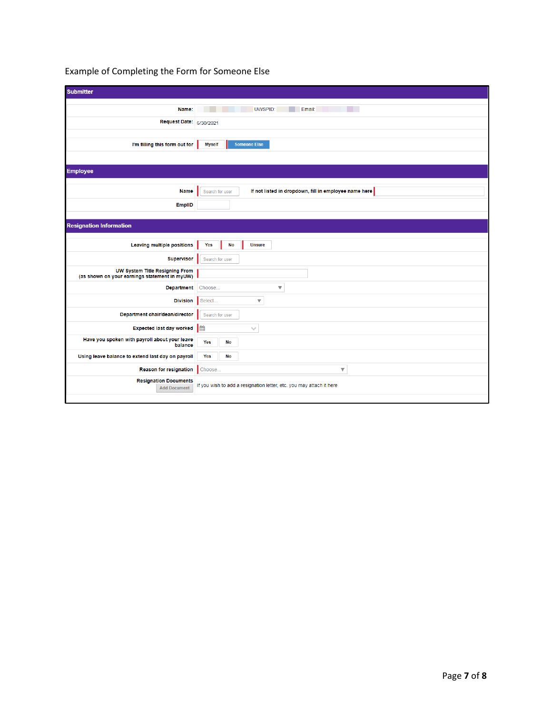| <b>Submitter</b>                                                                |                                                                          |
|---------------------------------------------------------------------------------|--------------------------------------------------------------------------|
|                                                                                 |                                                                          |
| Name:                                                                           | UWSPID:<br>Email:                                                        |
| Request Date: 6/30/2021                                                         |                                                                          |
|                                                                                 |                                                                          |
| I'm filling this form out for                                                   | <b>Someone Else</b><br><b>Myself</b>                                     |
|                                                                                 |                                                                          |
| <b>Employee</b>                                                                 |                                                                          |
|                                                                                 |                                                                          |
| <b>Name</b>                                                                     | If not listed in dropdown, fill in employee name here<br>Search for user |
| EmpliD                                                                          |                                                                          |
|                                                                                 |                                                                          |
|                                                                                 |                                                                          |
| <b>Resignation Information</b>                                                  |                                                                          |
|                                                                                 |                                                                          |
| <b>Leaving multiple positions</b>                                               | <b>No</b><br><b>Unsure</b><br>Yes                                        |
| <b>Supervisor</b>                                                               | Search for user                                                          |
| UW System Title Resigning From<br>(as shown on your earnings statement in myUW) |                                                                          |
|                                                                                 |                                                                          |
| <b>Department</b>                                                               | Choose<br>$\overline{\mathbf{v}}$                                        |
| <b>Division</b>                                                                 | Select<br>$\overline{\mathbf{v}}$                                        |
| Department chair/dean/director                                                  | Search for user                                                          |
| <b>Expected last day worked</b>                                                 | l<br>$\checkmark$                                                        |
| Have you spoken with payroll about your leave<br>balance                        | Yes<br><b>No</b>                                                         |
| Using leave balance to extend last day on payroll                               | Yes<br>No                                                                |
| Reason for resignation                                                          | $\overline{\mathbf{v}}$<br>Choose                                        |
|                                                                                 |                                                                          |
| <b>Resignation Documents</b><br><b>Add Document</b>                             | If you wish to add a resignation letter, etc. you may attach it here     |
|                                                                                 |                                                                          |

## Example of Completing the Form for Someone Else